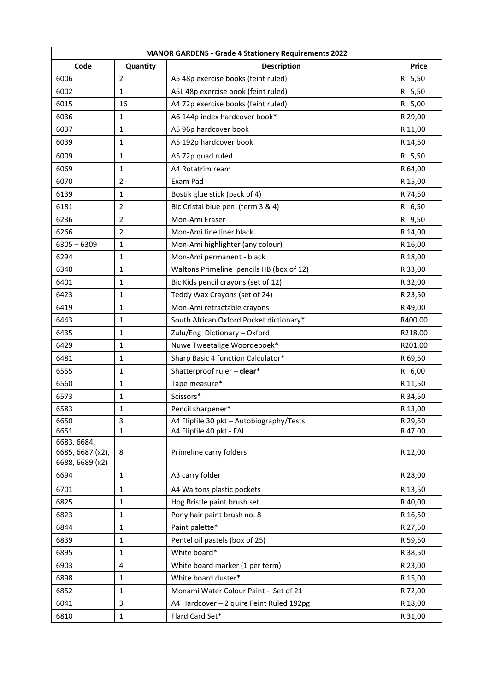| Code<br>Quantity<br><b>Description</b><br><b>Price</b><br>6006<br>2<br>A5 48p exercise books (feint ruled)<br>R 5,50<br>6002<br>1<br>A5L 48p exercise book (feint ruled)<br>R 5,50<br>A4 72p exercise books (feint ruled)<br>R 5,00<br>6015<br>16<br>6036<br>A6 144p index hardcover book*<br>$\mathbf{1}$<br>R 29,00<br>6037<br>1<br>A5 96p hardcover book<br>R 11,00<br>6039<br>A5 192p hardcover book<br>1<br>R 14,50<br>6009<br>$\mathbf 1$<br>A5 72p quad ruled<br>R 5,50<br>6069<br>1<br>A4 Rotatrim ream<br>R 64,00<br>6070<br>$\overline{2}$<br>Exam Pad<br>R 15,00<br>6139<br>1<br>Bostik glue stick (pack of 4)<br>R 74,50<br>6181<br>$\overline{2}$<br>Bic Cristal blue pen (term 3 & 4)<br>R 6,50<br>$\overline{2}$<br>Mon-Ami Eraser<br>6236<br>R 9,50<br>6266<br>Mon-Ami fine liner black<br>R 14,00<br>$\overline{2}$ |
|--------------------------------------------------------------------------------------------------------------------------------------------------------------------------------------------------------------------------------------------------------------------------------------------------------------------------------------------------------------------------------------------------------------------------------------------------------------------------------------------------------------------------------------------------------------------------------------------------------------------------------------------------------------------------------------------------------------------------------------------------------------------------------------------------------------------------------------|
|                                                                                                                                                                                                                                                                                                                                                                                                                                                                                                                                                                                                                                                                                                                                                                                                                                      |
|                                                                                                                                                                                                                                                                                                                                                                                                                                                                                                                                                                                                                                                                                                                                                                                                                                      |
|                                                                                                                                                                                                                                                                                                                                                                                                                                                                                                                                                                                                                                                                                                                                                                                                                                      |
|                                                                                                                                                                                                                                                                                                                                                                                                                                                                                                                                                                                                                                                                                                                                                                                                                                      |
|                                                                                                                                                                                                                                                                                                                                                                                                                                                                                                                                                                                                                                                                                                                                                                                                                                      |
|                                                                                                                                                                                                                                                                                                                                                                                                                                                                                                                                                                                                                                                                                                                                                                                                                                      |
|                                                                                                                                                                                                                                                                                                                                                                                                                                                                                                                                                                                                                                                                                                                                                                                                                                      |
|                                                                                                                                                                                                                                                                                                                                                                                                                                                                                                                                                                                                                                                                                                                                                                                                                                      |
|                                                                                                                                                                                                                                                                                                                                                                                                                                                                                                                                                                                                                                                                                                                                                                                                                                      |
|                                                                                                                                                                                                                                                                                                                                                                                                                                                                                                                                                                                                                                                                                                                                                                                                                                      |
|                                                                                                                                                                                                                                                                                                                                                                                                                                                                                                                                                                                                                                                                                                                                                                                                                                      |
|                                                                                                                                                                                                                                                                                                                                                                                                                                                                                                                                                                                                                                                                                                                                                                                                                                      |
|                                                                                                                                                                                                                                                                                                                                                                                                                                                                                                                                                                                                                                                                                                                                                                                                                                      |
|                                                                                                                                                                                                                                                                                                                                                                                                                                                                                                                                                                                                                                                                                                                                                                                                                                      |
| $6305 - 6309$<br>$\mathbf 1$<br>Mon-Ami highlighter (any colour)<br>R 16,00                                                                                                                                                                                                                                                                                                                                                                                                                                                                                                                                                                                                                                                                                                                                                          |
| 6294<br>Mon-Ami permanent - black<br>R 18,00<br>1                                                                                                                                                                                                                                                                                                                                                                                                                                                                                                                                                                                                                                                                                                                                                                                    |
| Waltons Primeline pencils HB (box of 12)<br>6340<br>1<br>R 33,00                                                                                                                                                                                                                                                                                                                                                                                                                                                                                                                                                                                                                                                                                                                                                                     |
| Bic Kids pencil crayons (set of 12)<br>6401<br>$\mathbf 1$<br>R 32,00                                                                                                                                                                                                                                                                                                                                                                                                                                                                                                                                                                                                                                                                                                                                                                |
| 6423<br>Teddy Wax Crayons (set of 24)<br>1<br>R 23,50                                                                                                                                                                                                                                                                                                                                                                                                                                                                                                                                                                                                                                                                                                                                                                                |
| Mon-Ami retractable crayons<br>6419<br>1<br>R49,00                                                                                                                                                                                                                                                                                                                                                                                                                                                                                                                                                                                                                                                                                                                                                                                   |
| 6443<br>South African Oxford Pocket dictionary*<br>R400,00<br>$\mathbf{1}$                                                                                                                                                                                                                                                                                                                                                                                                                                                                                                                                                                                                                                                                                                                                                           |
| $\mathbf 1$<br>6435<br>Zulu/Eng Dictionary - Oxford<br>R218,00                                                                                                                                                                                                                                                                                                                                                                                                                                                                                                                                                                                                                                                                                                                                                                       |
| 6429<br>Nuwe Tweetalige Woordeboek*<br>R201,00<br>1                                                                                                                                                                                                                                                                                                                                                                                                                                                                                                                                                                                                                                                                                                                                                                                  |
| 6481<br>Sharp Basic 4 function Calculator*<br>1<br>R 69,50                                                                                                                                                                                                                                                                                                                                                                                                                                                                                                                                                                                                                                                                                                                                                                           |
| Shatterproof ruler - clear*<br>6555<br>R 6,00<br>1                                                                                                                                                                                                                                                                                                                                                                                                                                                                                                                                                                                                                                                                                                                                                                                   |
| Tape measure*<br>6560<br>1<br>R 11,50                                                                                                                                                                                                                                                                                                                                                                                                                                                                                                                                                                                                                                                                                                                                                                                                |
| Scissors*<br>1<br>6573<br>R 34,50                                                                                                                                                                                                                                                                                                                                                                                                                                                                                                                                                                                                                                                                                                                                                                                                    |
| Pencil sharpener*<br>6583<br>1<br>R 13,00                                                                                                                                                                                                                                                                                                                                                                                                                                                                                                                                                                                                                                                                                                                                                                                            |
| 6650<br>A4 Flipfile 30 pkt - Autobiography/Tests<br>R 29,50<br>3                                                                                                                                                                                                                                                                                                                                                                                                                                                                                                                                                                                                                                                                                                                                                                     |
| 6651<br>A4 Flipfile 40 pkt - FAL<br>R 47.00<br>1                                                                                                                                                                                                                                                                                                                                                                                                                                                                                                                                                                                                                                                                                                                                                                                     |
| 6683, 6684,<br>6685, 6687 (x2),<br>Primeline carry folders<br>8<br>R 12,00<br>6688, 6689 (x2)                                                                                                                                                                                                                                                                                                                                                                                                                                                                                                                                                                                                                                                                                                                                        |
| 6694<br>A3 carry folder<br>R 28,00<br>1                                                                                                                                                                                                                                                                                                                                                                                                                                                                                                                                                                                                                                                                                                                                                                                              |
| 6701<br>A4 Waltons plastic pockets<br>R 13,50<br>1                                                                                                                                                                                                                                                                                                                                                                                                                                                                                                                                                                                                                                                                                                                                                                                   |
| 6825<br>Hog Bristle paint brush set<br>$\mathbf{1}$<br>R 40,00                                                                                                                                                                                                                                                                                                                                                                                                                                                                                                                                                                                                                                                                                                                                                                       |
| Pony hair paint brush no. 8<br>6823<br>$\mathbf 1$<br>R 16,50                                                                                                                                                                                                                                                                                                                                                                                                                                                                                                                                                                                                                                                                                                                                                                        |
| Paint palette*<br>6844<br>R 27,50<br>1                                                                                                                                                                                                                                                                                                                                                                                                                                                                                                                                                                                                                                                                                                                                                                                               |
| Pentel oil pastels (box of 25)<br>6839<br>$\mathbf{1}$<br>R 59,50                                                                                                                                                                                                                                                                                                                                                                                                                                                                                                                                                                                                                                                                                                                                                                    |
| White board*<br>6895<br>R 38,50<br>1                                                                                                                                                                                                                                                                                                                                                                                                                                                                                                                                                                                                                                                                                                                                                                                                 |
| 6903<br>White board marker (1 per term)<br>4<br>R 23,00                                                                                                                                                                                                                                                                                                                                                                                                                                                                                                                                                                                                                                                                                                                                                                              |
| White board duster*<br>6898<br>R 15,00<br>1                                                                                                                                                                                                                                                                                                                                                                                                                                                                                                                                                                                                                                                                                                                                                                                          |
| Monami Water Colour Paint - Set of 21<br>6852<br>$\mathbf{1}$<br>R 72,00                                                                                                                                                                                                                                                                                                                                                                                                                                                                                                                                                                                                                                                                                                                                                             |
| 6041<br>3<br>A4 Hardcover - 2 quire Feint Ruled 192pg<br>R 18,00                                                                                                                                                                                                                                                                                                                                                                                                                                                                                                                                                                                                                                                                                                                                                                     |
| Flard Card Set*<br>6810<br>R 31,00<br>$\mathbf{1}$                                                                                                                                                                                                                                                                                                                                                                                                                                                                                                                                                                                                                                                                                                                                                                                   |